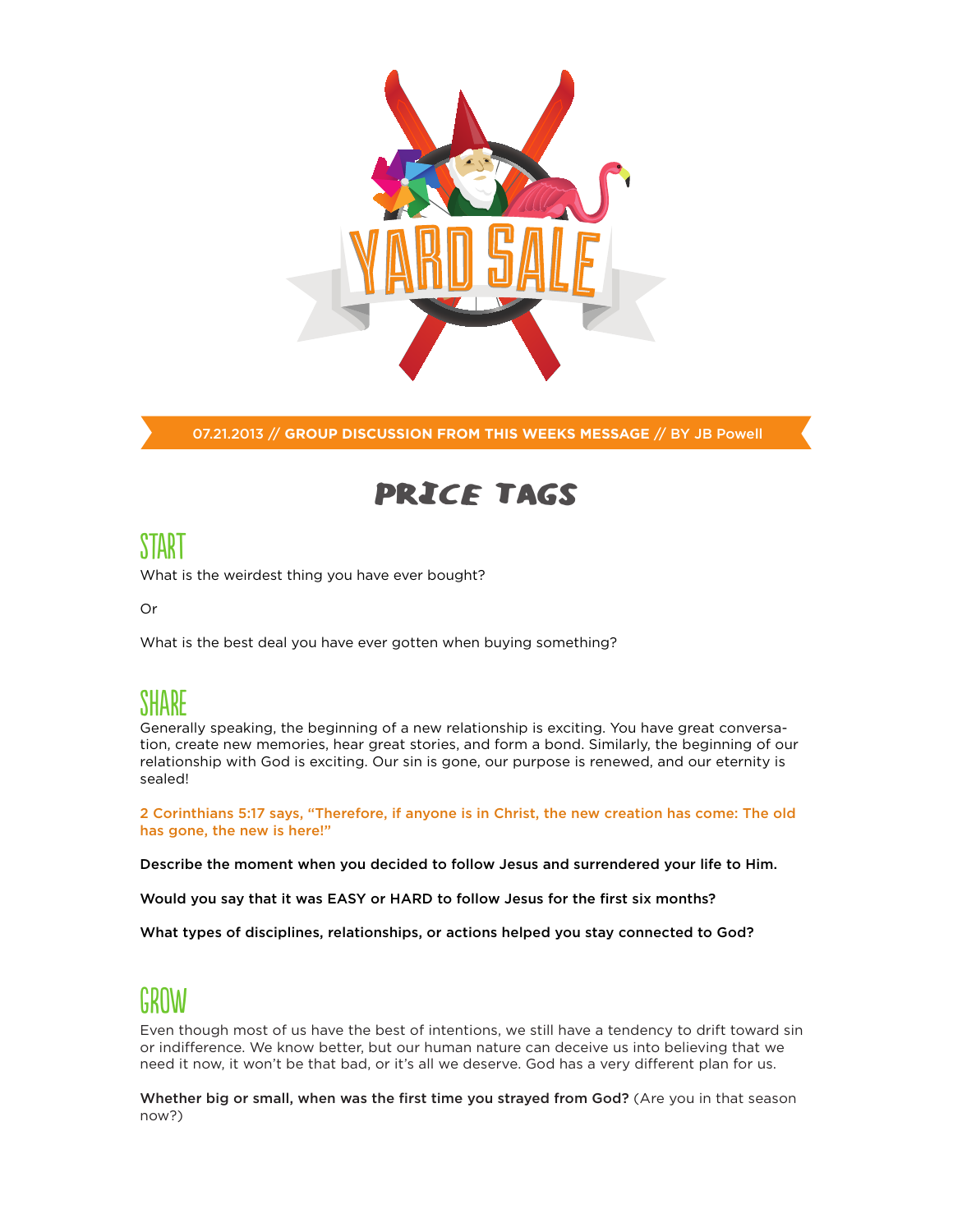

07.21.2013 // **GROUP DISCUSSION FROM THIS WEEKS MESSAGE** // BY JB Powell

## Price Tags

# START

What is the weirdest thing you have ever bought?

Or

What is the best deal you have ever gotten when buying something?

### SHARE

Generally speaking, the beginning of a new relationship is exciting. You have great conversation, create new memories, hear great stories, and form a bond. Similarly, the beginning of our relationship with God is exciting. Our sin is gone, our purpose is renewed, and our eternity is sealed!

2 Corinthians 5:17 says, "Therefore, if anyone is in Christ, the new creation has come: The old has gone, the new is here!"

Describe the moment when you decided to follow Jesus and surrendered your life to Him.

Would you say that it was EASY or HARD to follow Jesus for the first six months?

What types of disciplines, relationships, or actions helped you stay connected to God?

### GROW

Even though most of us have the best of intentions, we still have a tendency to drift toward sin or indifference. We know better, but our human nature can deceive us into believing that we need it now, it won't be that bad, or it's all we deserve. God has a very different plan for us.

Whether big or small, when was the first time you strayed from God? (Are you in that season now?)